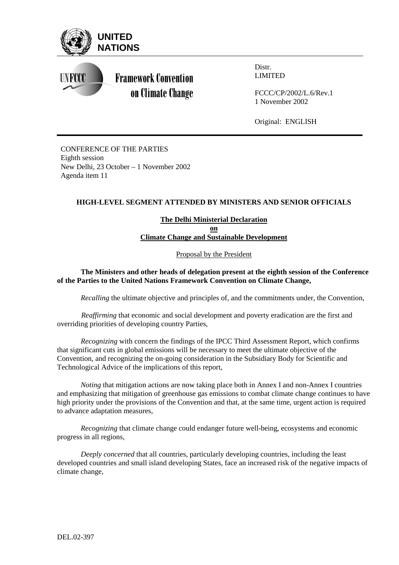

Distr. LIMITED

FCCC/CP/2002/L.6/Rev.1 1 November 2002

Original: ENGLISH

CONFERENCE OF THE PARTIES Eighth session New Delhi, 23 October – 1 November 2002 Agenda item 11

## **HIGH-LEVEL SEGMENT ATTENDED BY MINISTERS AND SENIOR OFFICIALS**

**The Delhi Ministerial Declaration on Climate Change and Sustainable Development**

Proposal by the President

## **The Ministers and other heads of delegation present at the eighth session of the Conference of the Parties to the United Nations Framework Convention on Climate Change,**

*Recalling* the ultimate objective and principles of, and the commitments under, the Convention,

*Reaffirming* that economic and social development and poverty eradication are the first and overriding priorities of developing country Parties,

*Recognizing* with concern the findings of the IPCC Third Assessment Report, which confirms that significant cuts in global emissions will be necessary to meet the ultimate objective of the Convention, and recognizing the on-going consideration in the Subsidiary Body for Scientific and Technological Advice of the implications of this report,

*Noting* that mitigation actions are now taking place both in Annex I and non-Annex I countries and emphasizing that mitigation of greenhouse gas emissions to combat climate change continues to have high priority under the provisions of the Convention and that, at the same time, urgent action is required to advance adaptation measures,

*Recognizing* that climate change could endanger future well-being, ecosystems and economic progress in all regions,

*Deeply concerned* that all countries, particularly developing countries, including the least developed countries and small island developing States, face an increased risk of the negative impacts of climate change,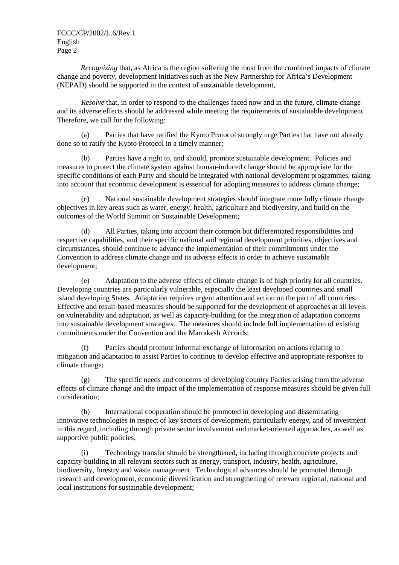*Recognizing* that, as Africa is the region suffering the most from the combined impacts of climate change and poverty, development initiatives such as the New Partnership for Africa's Development (NEPAD) should be supported in the context of sustainable development,

*Resolve* that, in order to respond to the challenges faced now and in the future, climate change and its adverse effects should be addressed while meeting the requirements of sustainable development. Therefore, we call for the following:

(a) Parties that have ratified the Kyoto Protocol strongly urge Parties that have not already done so to ratify the Kyoto Protocol in a timely manner;

(b) Parties have a right to, and should, promote sustainable development. Policies and measures to protect the climate system against human-induced change should be appropriate for the specific conditions of each Party and should be integrated with national development programmes, taking into account that economic development is essential for adopting measures to address climate change;

(c) National sustainable development strategies should integrate more fully climate change objectives in key areas such as water, energy, health, agriculture and biodiversity, and build on the outcomes of the World Summit on Sustainable Development;

(d) All Parties, taking into account their common but differentiated responsibilities and respective capabilities, and their specific national and regional development priorities, objectives and circumstances, should continue to advance the implementation of their commitments under the Convention to address climate change and its adverse effects in order to achieve sustainable development;

(e) Adaptation to the adverse effects of climate change is of high priority for all countries. Developing countries are particularly vulnerable, especially the least developed countries and small island developing States. Adaptation requires urgent attention and action on the part of all countries. Effective and result-based measures should be supported for the development of approaches at all levels on vulnerability and adaptation, as well as capacity-building for the integration of adaptation concerns into sustainable development strategies. The measures should include full implementation of existing commitments under the Convention and the Marrakesh Accords;

(f) Parties should promote informal exchange of information on actions relating to mitigation and adaptation to assist Parties to continue to develop effective and appropriate responses to climate change;

(g) The specific needs and concerns of developing country Parties arising from the adverse effects of climate change and the impact of the implementation of response measures should be given full consideration;

(h) International cooperation should be promoted in developing and disseminating innovative technologies in respect of key sectors of development, particularly energy, and of investment in this regard, including through private sector involvement and market-oriented approaches, as well as supportive public policies;

(i) Technology transfer should be strengthened, including through concrete projects and capacity-building in all relevant sectors such as energy, transport, industry, health, agriculture, biodiversity, forestry and waste management. Technological advances should be promoted through research and development, economic diversification and strengthening of relevant regional, national and local institutions for sustainable development;